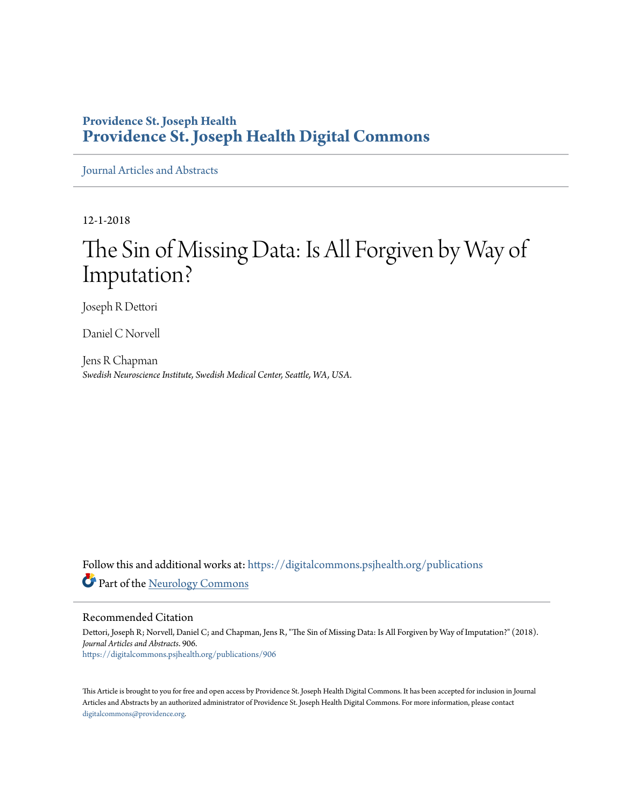## **Providence St. Joseph Health [Providence St. Joseph Health Digital Commons](https://digitalcommons.psjhealth.org?utm_source=digitalcommons.psjhealth.org%2Fpublications%2F906&utm_medium=PDF&utm_campaign=PDFCoverPages)**

[Journal Articles and Abstracts](https://digitalcommons.psjhealth.org/publications?utm_source=digitalcommons.psjhealth.org%2Fpublications%2F906&utm_medium=PDF&utm_campaign=PDFCoverPages)

12-1-2018

# The Sin of Missing Data: Is All Forgiven by Way of Imputation?

Joseph R Dettori

Daniel C Norvell

Jens R Chapman *Swedish Neuroscience Institute, Swedish Medical Center, Seattle, WA, USA.*

Follow this and additional works at: [https://digitalcommons.psjhealth.org/publications](https://digitalcommons.psjhealth.org/publications?utm_source=digitalcommons.psjhealth.org%2Fpublications%2F906&utm_medium=PDF&utm_campaign=PDFCoverPages) Part of the [Neurology Commons](http://network.bepress.com/hgg/discipline/692?utm_source=digitalcommons.psjhealth.org%2Fpublications%2F906&utm_medium=PDF&utm_campaign=PDFCoverPages)

Recommended Citation

Dettori, Joseph R; Norvell, Daniel C; and Chapman, Jens R, "The Sin of Missing Data: Is All Forgiven by Way of Imputation?" (2018). *Journal Articles and Abstracts*. 906. [https://digitalcommons.psjhealth.org/publications/906](https://digitalcommons.psjhealth.org/publications/906?utm_source=digitalcommons.psjhealth.org%2Fpublications%2F906&utm_medium=PDF&utm_campaign=PDFCoverPages)

This Article is brought to you for free and open access by Providence St. Joseph Health Digital Commons. It has been accepted for inclusion in Journal Articles and Abstracts by an authorized administrator of Providence St. Joseph Health Digital Commons. For more information, please contact [digitalcommons@providence.org](mailto:digitalcommons@providence.org).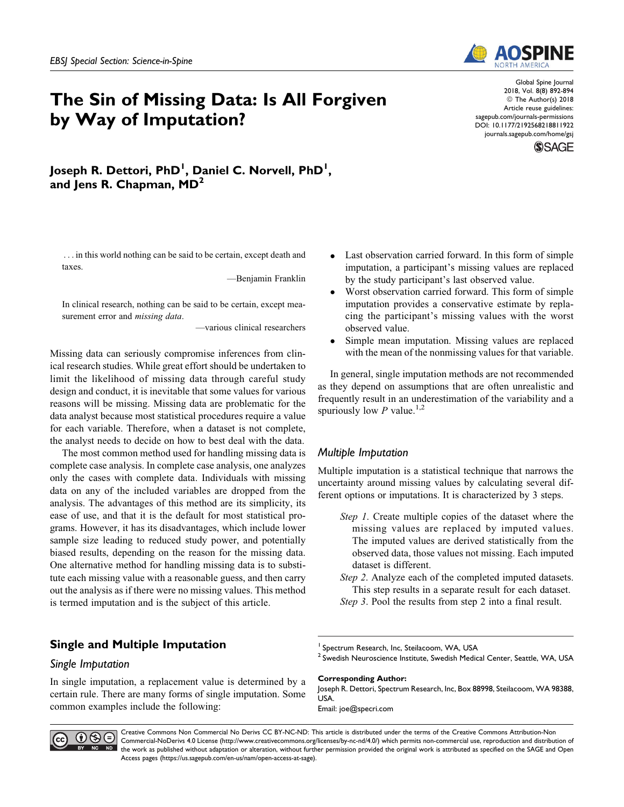## The Sin of Missing Data: Is All Forgiven by Way of Imputation?

Global Spine Journal 2018, Vol. 8(8) 892-894 ª The Author(s) 2018 Article reuse guidelines: [sagepub.com/journals-permissions](https://sagepub.com/journals-permissions) [DOI: 10.1177/2192568218811922](https://doi.org/10.1177/2192568218811922) [journals.sagepub.com/home/gsj](http://journals.sagepub.com/home/gsj)



## Joseph R. Dettori, PhD<sup>I</sup>, Daniel C. Norvell, PhD<sup>I</sup>, and Jens R. Chapman,  $MD<sup>2</sup>$

... in this world nothing can be said to be certain, except death and taxes.

—Benjamin Franklin

In clinical research, nothing can be said to be certain, except measurement error and *missing data*.

—various clinical researchers

Missing data can seriously compromise inferences from clinical research studies. While great effort should be undertaken to limit the likelihood of missing data through careful study design and conduct, it is inevitable that some values for various reasons will be missing. Missing data are problematic for the data analyst because most statistical procedures require a value for each variable. Therefore, when a dataset is not complete, the analyst needs to decide on how to best deal with the data.

The most common method used for handling missing data is complete case analysis. In complete case analysis, one analyzes only the cases with complete data. Individuals with missing data on any of the included variables are dropped from the analysis. The advantages of this method are its simplicity, its ease of use, and that it is the default for most statistical programs. However, it has its disadvantages, which include lower sample size leading to reduced study power, and potentially biased results, depending on the reason for the missing data. One alternative method for handling missing data is to substitute each missing value with a reasonable guess, and then carry out the analysis as if there were no missing values. This method is termed imputation and is the subject of this article.

## Single and Multiple Imputation

#### Single Imputation

In single imputation, a replacement value is determined by a certain rule. There are many forms of single imputation. Some common examples include the following:

- $\bullet$  Last observation carried forward. In this form of simple imputation, a participant's missing values are replaced by the study participant's last observed value.
- $\bullet$  Worst observation carried forward. This form of simple imputation provides a conservative estimate by replacing the participant's missing values with the worst observed value.
- $\bullet$  Simple mean imputation. Missing values are replaced with the mean of the nonmissing values for that variable.

In general, single imputation methods are not recommended as they depend on assumptions that are often unrealistic and frequently result in an underestimation of the variability and a spuriously low  $P$  value.<sup>1,2</sup>

#### Multiple Imputation

Multiple imputation is a statistical technique that narrows the uncertainty around missing values by calculating several different options or imputations. It is characterized by 3 steps.

- Step 1. Create multiple copies of the dataset where the missing values are replaced by imputed values. The imputed values are derived statistically from the observed data, those values not missing. Each imputed dataset is different.
- Step 2. Analyze each of the completed imputed datasets. This step results in a separate result for each dataset.

Step 3. Pool the results from step 2 into a final result.

<sup>1</sup> Spectrum Research, Inc, Steilacoom, WA, USA

#### Corresponding Author:

Joseph R. Dettori, Spectrum Research, Inc, Box 88998, Steilacoom, WA 98388, USA.

Email: joe@specri.com



Creative Commons Non Commercial No Derivs CC BY-NC-ND: This article is distributed under the terms of the Creative Commons Attribution-Non Commercial-NoDerivs 4.0 License ([http://www.creativecommons.org/licenses/by-nc-nd/4.0/\)](http://www.creativecommons.org/licenses/by-nc-nd/4.0/) which permits non-commercial use, reproduction and distribution of the work as published without adaptation or alteration, without further permission provided the original work is attributed as specified on the SAGE and Open Access pages [\(https://us.sagepub.com/en-us/nam/open-access-at-sage](https://us.sagepub.com/en-us/nam/open-access-at-sage)).

 $2$  Swedish Neuroscience Institute, Swedish Medical Center, Seattle, WA, USA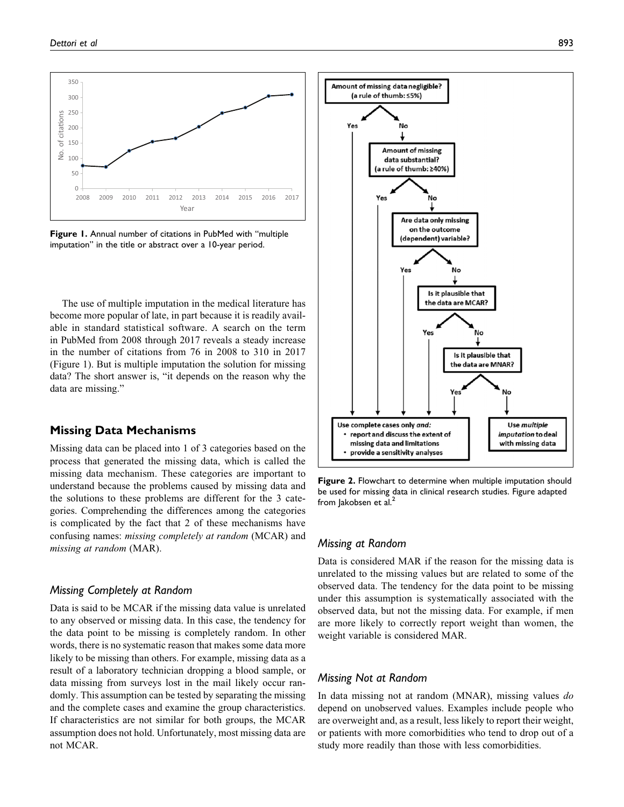

Figure 1. Annual number of citations in PubMed with "multiple imputation" in the title or abstract over a 10-year period.

The use of multiple imputation in the medical literature has become more popular of late, in part because it is readily available in standard statistical software. A search on the term in PubMed from 2008 through 2017 reveals a steady increase in the number of citations from 76 in 2008 to 310 in 2017 (Figure 1). But is multiple imputation the solution for missing data? The short answer is, "it depends on the reason why the data are missing."

#### Missing Data Mechanisms

Missing data can be placed into 1 of 3 categories based on the process that generated the missing data, which is called the missing data mechanism. These categories are important to understand because the problems caused by missing data and the solutions to these problems are different for the 3 categories. Comprehending the differences among the categories is complicated by the fact that 2 of these mechanisms have confusing names: missing completely at random (MCAR) and missing at random (MAR).

#### Missing Completely at Random

Data is said to be MCAR if the missing data value is unrelated to any observed or missing data. In this case, the tendency for the data point to be missing is completely random. In other words, there is no systematic reason that makes some data more likely to be missing than others. For example, missing data as a result of a laboratory technician dropping a blood sample, or data missing from surveys lost in the mail likely occur randomly. This assumption can be tested by separating the missing and the complete cases and examine the group characteristics. If characteristics are not similar for both groups, the MCAR assumption does not hold. Unfortunately, most missing data are not MCAR.



Figure 2. Flowchart to determine when multiple imputation should be used for missing data in clinical research studies. Figure adapted from Jakobsen et al.<sup>2</sup>

#### Missing at Random

Data is considered MAR if the reason for the missing data is unrelated to the missing values but are related to some of the observed data. The tendency for the data point to be missing under this assumption is systematically associated with the observed data, but not the missing data. For example, if men are more likely to correctly report weight than women, the weight variable is considered MAR.

#### Missing Not at Random

In data missing not at random (MNAR), missing values do depend on unobserved values. Examples include people who are overweight and, as a result, less likely to report their weight, or patients with more comorbidities who tend to drop out of a study more readily than those with less comorbidities.